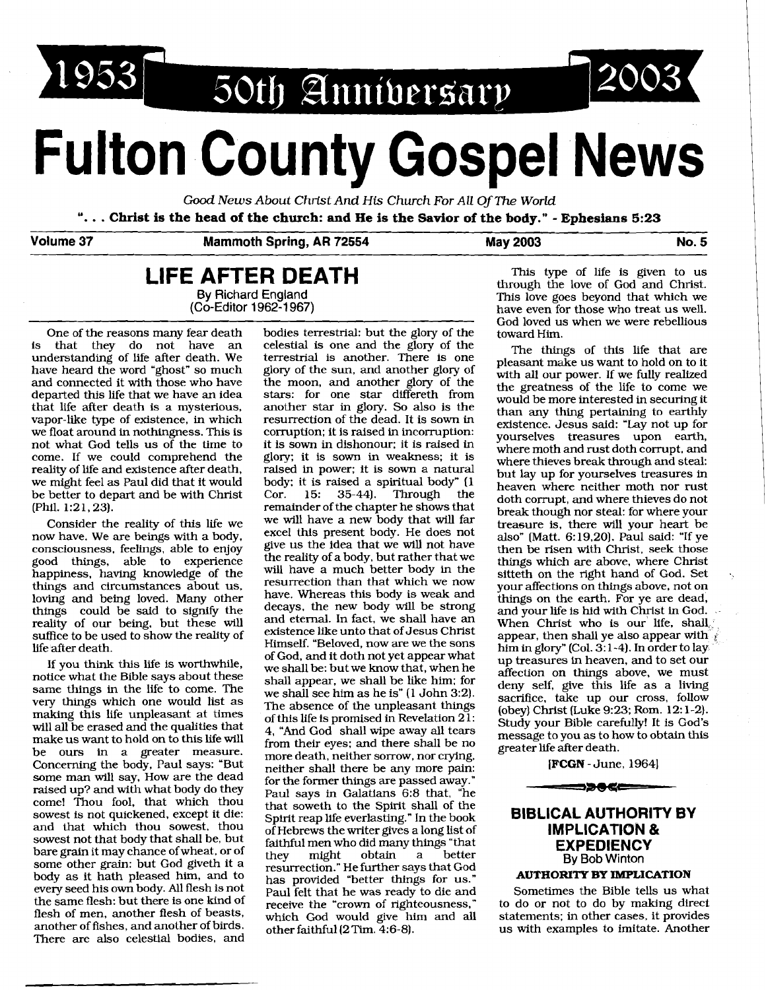1953 50th Annibersary

# **Fulton County Gospel News**

Good News About Christ And His Church For All Of *The World* ". . . **Christ is the head of the church: and He is the Savior of the body."** - **Ephesians 5:23** 

# **Volume 37 Mammoth Spring, AR 72554 May 2003 No. 5**

# **LIFE AFTER DEATH**<br>By Richard England **By** Richard England (Co-Editor 1962-1 967)

One of the reasons many fear death is that they do not have an understanding of life after death. We have heard the word 'ghost" so much and connected it with those who have departed this life that we have an idea that life after death is a mysterious, vapor-like type of existence, in which we float around in nothingness. This is not what God tells us of the time to come. If we could comprehend the reality of life and existence after death, we might feel as Paul did that it would be better to depart and be with Christ (Phil. 1:21, 23).

Consider the reality of this life we now have. We are beings with a body. consciousness, feelings, able to enjoy good things, able to experience happiness, having knowledge of the things and circumstances about us, loving and being loved. Many other things could be said to signify the reality of our being, but these will suffice to be used to show the reality of life after death.

If you think this life is worthwhile, notice what the Bible says about these same things in the life to come. The very things which one would list as making this life unpleasant at times will all be erased and the qualities that make us want to hold on to this life will be ours in a greater measure. Concerning the body, Paul says: 'But some man will say, How are the dead raised up? and with what body do they come! Thou fool, that which thou sowest is not quickened, except it die: and that which thou sowest, thou sowest not that body that shall be, but bare grain it may chance of wheat, or of some other grain: but God giveth it a body as it hath pleased him, and to every seed his own body. All flesh is not the same flesh: but there is one kind of flesh of men, another flesh of beasts, another of fishes, and another of birds. There are also celestial bodies, and bodies terrestrial: but the glory of the celestial is one and the glory of the terrestrial is another. There is one glory of the sun, and another glory of the moon, and another glory of the stars: for one star differeth from another star in glory. So also is the resurrection of the dead. It is sown in corruption; it is raised in incorruption: it is sown in dishonour: it is raised in glory; it is sown in weakness; it is raised in power; it is sown a natural body: it is raised a spiritual body" (1 Cor. 15: 35-44). Through the Cor. 15: remainder of the chapter he shows that we will have a new body that **will** far excel this present body. He does not give us the idea that we **will** not have the reality of a body, but rather that we will have a much better body in the resurrection than that which we now have. Whereas this body is weak and decays, the new body will be strong and eternal. In fact, we shall have an existence like unto that of Jesus Christ Himself. "Beloved, now are we the sons of God, and it doth not yet appear what we shall be: but we know that, when he shall appear, we shall be like him; for we shall see him as he is" (1 John 3:2). The absence of the unpleasant things of this life is promised in Revelation 21: 4, "And God shall wipe away all tears from their eyes: and there shall be no more death, neither sorrow, nor crying, neither shall there be any more pain: for the fonner things are passed away." Paul says in Galatians 6:8 that, "he that soweth to the Spirit shall of the Spirit reap life everlasting." In the book of Hebrews the writer gives a long list of faithful men who did many things "that they might obtain a better resurrection." He further says that God has provided 'better things for us." Paul felt that he was ready to die and receive the 'crown of righteousness." which God would give him and all other faithful (2 Tim. 4:6-81.

This type of life is given to us through the love of God and Christ. This love goes beyond that which we have even for those who treat us well. God loved us when we were rebellious toward Him.

The things of this life that are pleasant make us want to hold on to it with all our power. If we fully realized the greatness of the life to come we would be more interested in securing it than any thing pertaining to earthly existence. Jesus said: 'Lay not up for yourselves treasures upon earth, where moth and rust doth corrupt, and where thieves break through and steal: but lay up for yourselves treasures in heaven where neither moth nor rust doth corrupt, and where thieves do not break though nor steal: for where your treasure is, there will your heart be also" (Matt. 6:19,20). Paul said: "If ye then be risen with Christ, seek those things which are above, where Christ sitteth on the right hand of God. Set your affections on things above, not on things on the earth. For ye are dead, and your life is hid with Christ in God. When Christ who is our life, shall, appear, then shall ye also appear with  $\hat{\psi}$ him in glory" (Col. **3:** 1-4). In order to lay up treasures in heaven, and to set our affection on things above, we must deny self, give this life as a living sacrifice, take up our cross, follow (obey) Christ (Luke 9:23; Rom. 12: 1-2). Study your Bible carefully! It is God's message to you as to how to obtain this greater life after death.

[FCGN - June, 1964] <del>--->0</del>6<del>c----</del>

# **BIBLICAL AUTHORITY BY IMPLICATION** & **EXPEDIENCY**  By **Bob** Winton

#### **AUTHORITY BY IMPLICATION**

Sometimes the Bible tells us what to do or not to do by making direct statements; in other cases, it provides us with examples to imitate. Another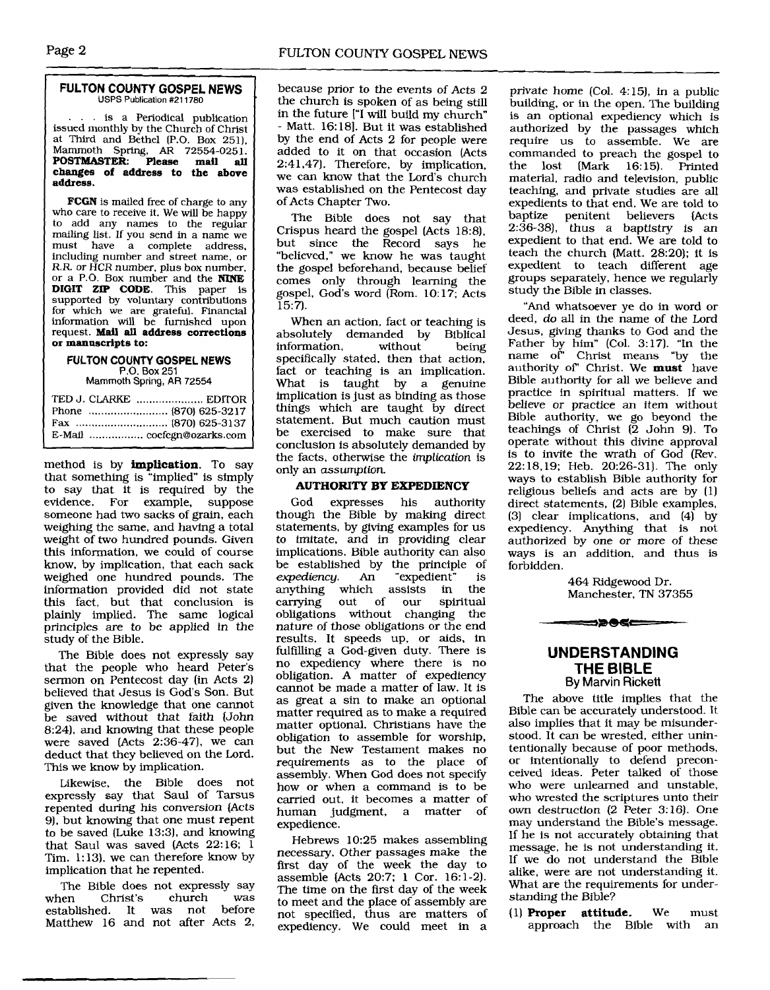#### **FULTON COUNTY GOSPEL NEWS USPS Publication #211780**

... is a Periodical publication issued monthly by the Church of Christ at Third and Bethel [P.O. Box 251). Mammoth Spring, **AR** 72554-0251. **POSTMASTER: Please mail all changes of address to the above address.** 

FCGN is mailed free of charge to any who care to receive it. We **will** be happy to add any names to the regular mailing list. If you send in a name we must have a complete address, including number and street name, or R.R. or HCR number, plus box number, or a P.O. Box number and the NINE **DIGIT ZIP CODE.** This paper is supported by voluntary contributions for which we are grateful. Financial information will be furnished upon request. **Mail all address corrections or manuscripts to:** 

# **FULTON COUNTY GOSPEL NEWS P.O.** Box **251**

Mammoth **Spring, AR** 72554

| E-Mail  cocfcgn@ozarks.com |  |
|----------------------------|--|

method is by **implication.** To say that something is "implied" is simply to say that it is required by the evidence. For example, suppose someone had two sacks of grain, each weighing the same, and having a total weight of two hundred pounds. Given this information, we could of course know, by implication, that each sack weighed one hundred pounds. The information provided did not state this fact, but that conclusion is plainly implied. The same logical principles are to be applied in the study of the Bible.

The Bible does not expressly say that the people who heard Peter's sermon on Pentecost day (in Acts 2) believed that Jesus is God's Son. But given the knowledge that one cannot be saved without that faith (John 8:24), and knowing that these people were saved (Acts 2:36-47), we can deduct that they believed on the Lord. This we know by implication.

Likewise, the Bible does not expressly say that Saul of Tarsus repented during his conversion (Acts 9). but knowing that one must repent to be saved (Luke 13:3), and knowing that Saul was saved (Acts 22:16; 1 Tim. 1: 13). we can therefore know by implication that he repented.

The Bible does not expressly say<br>when Christ's church was Christ's church was<br>ed. It was not before established. It was not Matthew 16 and not after Acts 2,

because prior to the events of Acts 2 the church is spoken of as being still in the future ['I will build my church" - Matt. 16: 181. But it was established by the end of Acts 2 for people were added to it on that occasion (Acts 2:41,47). Therefore, by implication, we can know that the Lord's church was established on the Pentecost day of Acts Chapter Two.

The Bible does not say that Crispus heard the gospel (Acts 18:8), but since the Record says he "believed," we know he was taught the gospel beforehand, because belief comes only through learning the gospel. God's word (Rom. 10:17; Acts 15:7).

When an action, fact or teaching is<br>solutely demanded by Biblical absolutely demanded by Biblical information. specifically stated, then that action, fact or teaching is an implication. What is taught by a genuine implication is just as binding as those things which are taught by direct statement. But much caution must be exercised to make sure that conclusion is absolutely demanded by the facts, otherwise the implication is only an assumption.

#### **AUTHORITY BY EXPEDIENCY**

God expresses his authority though the Bible by making direct statements, by giving examples for us to imitate, and in providing clear implications. Bible authority can also be established by the principle of expediency. An "expedient" is expediency. An "expedient" is<br>anything which assists in the anything which assists in the<br>carrying out of our spiritual out of our obligations without changing the nature of those obligations or the end results. It speeds up, or aids, in fulfilling a God-given duty. There is no expediency where there is no obligation. **A** matter of expediency cannot be made a matter of law. It is as great a sin to make an optional matter required as to make a required matter optional. Christians have the obligation to assemble for worship, but the New Testament makes no requirements as to the place of assembly. When God does not specify how or when a command is to be carried out, it becomes a matter of human judgment, a matter of expedience.

Hebrews 10:25 makes assembling necessary. Other passages make the first day of the week the day to assemble (Acts 20:7; 1 Cor. 16:l-2). The time on the first day of the week to meet and the place of assembly are not specified, thus are matters of expediency. We could meet in a

private home (Col. 4:15), in a public building, or in the open. The building is an optional expediency which is authorized by the passages which require us to assemble. We are commanded to preach the gospel to<br>the lost (Mark 16:15). Printed lost  $(Mark 16:15)$ . Printed material, radio and television, public teaching, and private studies are all expedients to that end. We are told to baptize penitent believers (Acts 2:36-38), thus a baptistry is an expedient to that end. We are told to teach the church (Matt. 28:20); it is expedient to teach different age groups separately, hence we regularly study the Bible in classes.

"And whatsoever ye do in word or deed, do **all** in the name of the Lord Jesus, giving thanks to God and the Father by him" (Col. 3: 17). "In the name of' Christ means "by the authority of' Christ. We **must** have Bible authority for all we believe and practice in spiritual matters. If we believe or practice an item without Bible authority, we go beyond the teachings of Christ (2 John **9).** To operate without this divine approval is to invite the wrath of God (Rev. 22:18.19; Heb. 20:26-31). The only ways to establish Bible authority for religious beliefs and acts are by (1) direct statements, (2) Bible examples,  $(3)$  clear implications, and  $(4)$  by expediency. Anything that is not authorized by one or more of these ways is an addition, and thus is forbidden.

> 464 Ridgewood Dr. Manchester. TN 37355

### <del>=</del>>>®≪

#### **UNDERSTANDING THE BIBLE By** Marvin **Rickett**

The above title implies that the Bible can be accurately understood. It also implies that it may be misunderstood. It can be wrested. either unintentionally because of poor methods, or intentionally to defend preconceived ideas. Peter talked of those who were unlearned and unstable, who wrested the scriptures unto their own destruction (2 Peter 3:16). One may understand the Bible's message. If he is not accurately obtaining that message, he is not understanding it. If we do not understand the Bible alike, were are not understanding it. What are the requirements for understanding the Bible?

(1) Proper **attitude.** We must approach the Bible with an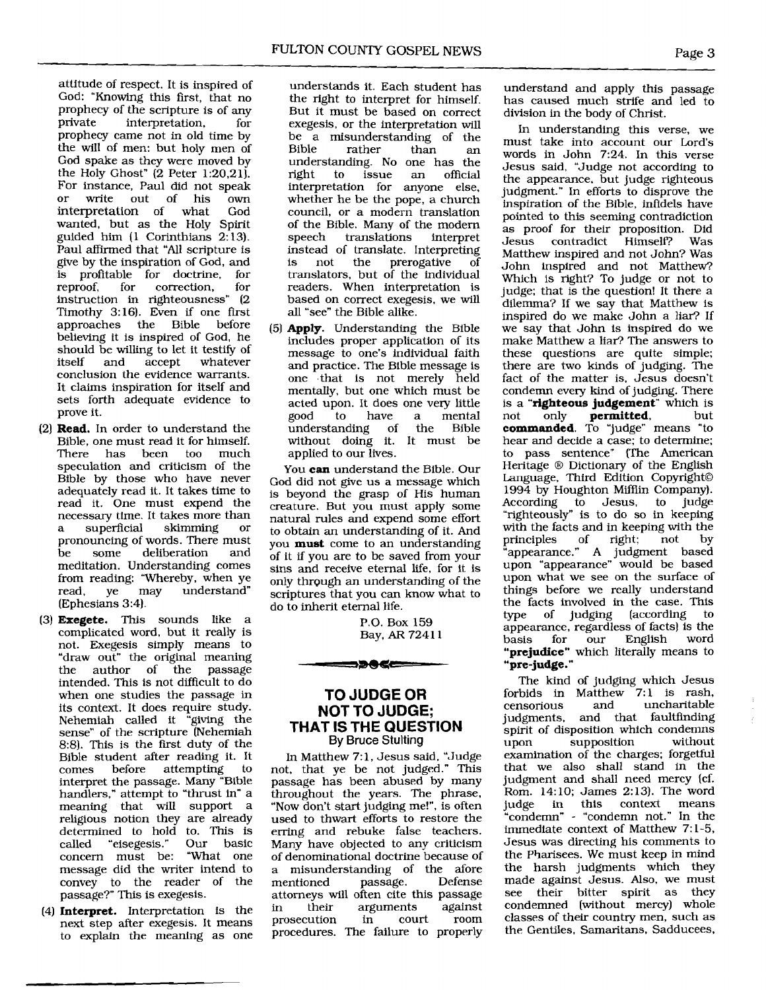attitude of respect. It is inspired of God: "Knowing this first, that no prophecy of the scripture is of any<br>private interpretation. for interpretation. prophecy came not in old time by the will of men: but holy men of God spake as they were moved by the Holy Ghost" (2 Peter 1:20,21). For instance, Paul did not speak<br>or write out of his own write out of his own<br>pretation of what God interpretation of wanted, but as the Holy Spirit guided him (1 Corinthians 2: 13). Paul affirmed that "All scripture is give by the inspiration of God, and is profitable for doctrine, for correction. instruction in righteousness" (2 Timothy 3:16). Even if one first<br>approaches the Bible before approaches the Bible believing it is inspired of God, he should be willing to let it testify of<br>itself and accept whatever whatever conclusion the evidence warrants. It claims inspiration for itself and sets forth adequate evidence to prove it.

- **(2) Read.** In order to understand the Bible, one must read it for himself.<br>There has been too much There has been too much speculation and criticism of the Bible by those who have never adequately read it. It takes time to read it. One must expend the necessary time. It takes more than<br>a superficial skimming or a superficial skimming or pronouncing of words. There must<br>be some deliberation and be some deliberation meditation. Understanding comes from reading: "Whereby, when ye<br>read, ve may understand" read, ye may understand" (Ephesians 3:4).
- **(3) Exegete.** This sounds like a complicated word, but it really is not. Exegesis simply means to "draw out" the original meaning the author of the passage intended. This is not difficult to do when one studies the passage in its context. It does require study. Nehemiah called it "giving the sense" of the scripture (Nehemiah 8:8). This is the first duty of the Bible student after reading it. It comes before attempting interpret the passage. Many "Bible handlers," attempt to "thrust in" a meaning that will support a religious notion they are already determined to hold to. This is<br>called "eisegesis." Our basic "eisegesis." concern must be: "What one message did the writer intend to convey to the reader of the passage?" This is exegesis.
- (4) **Interpret.** Interpretation is the next step after exegesis. It means to explain the meaning as one

understands it. Each student has the right to interpret for himself. But it must be based on correct exegesis, or the interpretation will be a misunderstanding of the<br>Bible rather than an rather understanding. No one has the<br>right to issue an official right to issue an official interpretation for anyone else, whether he be the pope, a church council, or a modern translation of the Bible. Many of the modem translations instead of translate. Interpreting the prerogative of translators, but of the individual readers. When interpretation is based on correct exegesis, we will all "see" the Bible alike.

(51 **Apply.** Understanding the Bible includes proper application of its message to one's individual faith and practice. The Bible message is one that is not merely held mentally, but one which must be acted upon. It does one very little<br>good to have a mental ve a mental<br>of the Bible understanding without doing it. It must be applied to our lives.

You **can** understand the Bible. Our God did not give us a message which is beyond the grasp of His human creature. But you must apply some natural rules and expend some effort to obtain an understanding of it. And you **must** come to an understanding of it if you are to be saved from your sins and receive eternal life, for it is only through an understanding of the scriptures that you can know what to do to inherit eternal life.

> P.O. Box 159 Bay, **AR** 724 1 1

# **TO JUDGE OR NOT TO JUDGE; THAT IS THE QUESTION**  By Bruce Stulting

5**2055** 

In Matthew 7: 1, Jesus said. "Judge not, that ye be not judged." This passage has been abused by many throughout the years. The phrase, "Now don't start judging me!", is often used to thwart efforts to restore the erring and rebuke false teachers. Many have objected to any criticism of denominational doctrine because of a misunderstanding of the afore mentioned attorneys will often cite this passage<br>in their arguments against in their arguments against prosecution procedures. The failure to properly

understand and apply this passage has caused much strife and led to division in the body of Christ.

In understanding this verse, we must take into account our Lord's words in John 7:24. In this verse Jesus said, "Judge not according to the appearance, but judge righteous judgment." In efforts to disprove the inspiration of the Bible, infidels have pointed to this seeming contradiction as proof for their proposition. Did<br>Jesus contradict Himself? Was contradict Matthew inspired and not John? Was John inspired and not Matthew? Which is right? To judge or not to judge; that is the question! It there a dilemma? If we say that Matthew is inspired do we make John a liar? If we say that John is inspired do we make Matthew a liar? The answers to these questions are quite simple; there are two kinds of judging. The fact of the matter is, Jesus doesn't condemn every kind of judging. There is a **"righteous judgement**" which is<br>not only **permitted**, but permitted, **commanded.** To 'Judge" means "to hear and decide a case; to determine; to pass sentence" (The American Heritage ® Dictionary of the English Language, Third Edition Copyright© 1994 by Houghton Mifflin Company). According to Jesus, to judge "righteously" is to do so in keeping with the facts and in keeping with the<br>principles of right: not by principles of right; "appearance." A judgment based upon "appearance" would be based upon what we see on the surface of things before we really understand the facts involved in the case. This<br>type of judging (according to type of judging (according appearance, regardless of facts) is the basis for our English word **"prejudice"** which literally means to " **pre-judge."** 

The kind of judging which Jesus forbids in Matthew 7:1 is rash,<br>censorious and uncharitable uncharitable judgments, and that faultfinding spirit of disposition which condemns<br>upon supposition without supposition examination of the charges; forgetful that we also shall stand in the judgment and shall need mercy (cf. Rom. 14:10; James 2:13). The word<br>judge in this context means in this context means "condemn" - "condemn not." In the immediate context of Matthew 7: 1-5, Jesus was directing his comments to the Pharisees. We must keep in mind the harsh judgments which they made against Jesus. Also, we must<br>see their bitter spirit as they their bitter spirit as they condemned (without mercy) whole classes of their country men, such as the Gentiles, Samaritans. Sadducees,